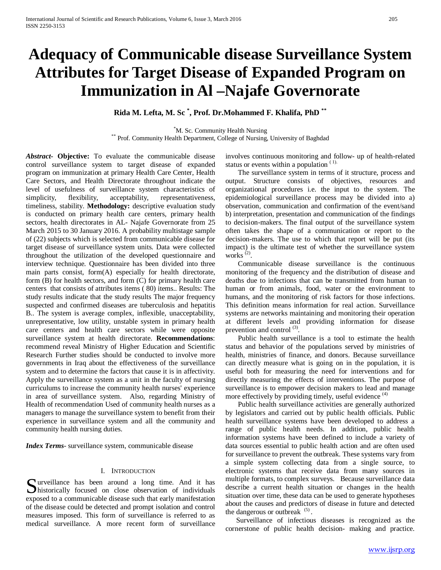# **Adequacy of Communicable disease Surveillance System Attributes for Target Disease of Expanded Program on Immunization in Al –Najafe Governorate**

**Rida M. Lefta, M. Sc \* , Prof. Dr.Mohammed F. Khalifa, PhD \*\***

<sup>\*</sup>M. Sc. Community Health Nursing

\*\* Prof. Community Health Department, College of Nursing, University of Baghdad

*Abstract***- Objective:** To evaluate the communicable disease control surveillance system to target disease of expanded program on immunization at primary Health Care Center, Health Care Sectors, and Health Directorate throughout indicate the level of usefulness of surveillance system characteristics of simplicity, flexibility, acceptability, representativeness, timeliness, stability. **Methodology:** descriptive evaluation study is conducted on primary health care centers, primary health sectors, health directorates in AL- Najafe Governorate from 25 March 2015 to 30 January 2016. A probability multistage sample of (22) subjects which is selected from communicable disease for target disease of surveillance system units. Data were collected throughout the utilization of the developed questionnaire and interview technique. Questionnaire has been divided into three main parts consist, form(A) especially for health directorate, form (B) for health sectors, and form (C) for primary health care centers that consists of attributes items ( 80) items.. Results: The study results indicate that the study results The major frequency suspected and confirmed diseases are tuberculosis and hepatitis B.. The system is average complex, inflexible, unacceptability, unrepresentative, low utility, unstable system in primary health care centers and health care sectors while were opposite surveillance system at health directorate. **Recommendations**: recommend reveal Ministry of Higher Education and Scientific Research Further studies should be conducted to involve more governments in Iraq about the effectiveness of the surveillance system and to determine the factors that cause it is in affectivity. Apply the surveillance system as a unit in the faculty of nursing curriculums to increase the community health nurses' experience in area of surveillance system. Also, regarding Ministry of Health of recommendation Used of community health nurses as a managers to manage the surveillance system to benefit from their experience in surveillance system and all the community and community health nursing duties.

*Index Terms*- surveillance system, communicable disease

#### I. INTRODUCTION

urveillance has been around a long time. And it has Surveillance has been around a long time. And it has historically focused on close observation of individuals exposed to a communicable disease such that early manifestation of the disease could be detected and prompt isolation and control measures imposed. This form of surveillance is referred to as medical surveillance. A more recent form of surveillance

involves continuous monitoring and follow- up of health-related status or events within a population  $(1)$ .

 The surveillance system in terms of it structure, process and output. Structure consists of objectives, resources and organizational procedures i.e. the input to the system. The epidemiological surveillance process may be divided into a) observation, communication and confirmation of the event/sand b) interpretation, presentation and communication of the findings to decision-makers. The final output of the surveillance system often takes the shape of a communication or report to the decision-makers. The use to which that report will be put (its impact) is the ultimate test of whether the surveillance system works  $^{(2)}$ .

 Communicable disease surveillance is the continuous monitoring of the frequency and the distribution of disease and deaths due to infections that can be transmitted from human to human or from animals, food, water or the environment to humans, and the monitoring of risk factors for those infections. This definition means information for real action. Surveillance systems are networks maintaining and monitoring their operation at different levels and providing information for disease prevention and control<sup>(3)</sup>.

 Public health surveillance is a tool to estimate the health status and behavior of the populations served by ministries of health, ministries of finance, and donors. Because surveillance can directly measure what is going on in the population, it is useful both for measuring the need for interventions and for directly measuring the effects of interventions. The purpose of surveillance is to empower decision makers to lead and manage more effectively by providing timely, useful evidence  $(4)$ 

 Public health surveillance activities are generally authorized by legislators and carried out by public health officials. Public health surveillance systems have been developed to address a range of public health needs. In addition, public health information systems have been defined to include a variety of data sources essential to public health action and are often used for surveillance to prevent the outbreak. These systems vary from a simple system collecting data from a single source, to electronic systems that receive data from many sources in multiple formats, to complex surveys. Because surveillance data describe a current health situation or changes in the health situation over time, these data can be used to generate hypotheses about the causes and predictors of disease in future and detected the dangerous or outbreak  $(5)$ .

 Surveillance of infectious diseases is recognized as the cornerstone of public health decision- making and practice.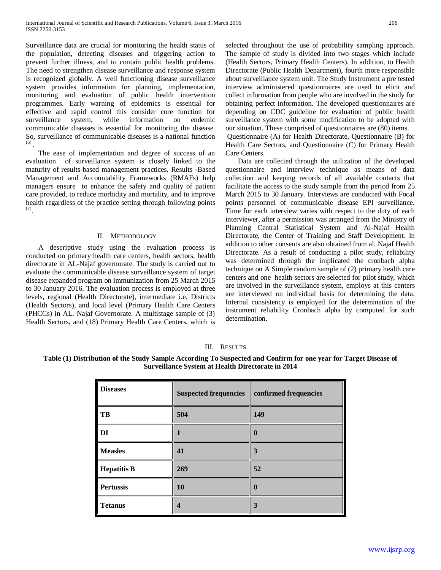Surveillance data are crucial for monitoring the health status of the population, detecting diseases and triggering action to prevent further illness, and to contain public health problems. The need to strengthen disease surveillance and response system is recognized globally. A well functioning disease surveillance system provides information for planning, implementation, monitoring and evaluation of public health intervention programmes. Early warning of epidemics is essential for effective and rapid control this consider core function for surveillance system, while information on endemic communicable diseases is essential for monitoring the disease. So, surveillance of communicable diseases is a national function  $(6)$ 

 The ease of implementation and degree of success of an evaluation of surveillance system is closely linked to the maturity of results-based management practices. Results -Based Management and Accountability Frameworks (RMAFs) help managers ensure to enhance the safety and quality of patient care provided, to reduce morbidity and mortality, and to improve health regardless of the practice setting through following points (7).

#### II. METHODOLOGY

 A descriptive study using the evaluation process is conducted on primary health care centers, health sectors, health directorate in AL-Najaf governorate. The study is carried out to evaluate the communicable disease surveillance system of target disease expanded program on immunization from 25 March 2015 to 30 January 2016. The evaluation process is employed at three levels, regional (Health Directorate), intermediate i.e. Districts (Health Sectors), and local level (Primary Health Care Centers (PHCCs) in AL. Najaf Governorate. A multistage sample of (3) Health Sectors, and (18) Primary Health Care Centers, which is selected throughout the use of probability sampling approach. The sample of study is divided into two stages which include (Health Sectors, Primary Health Centers). In addition, to Health Directorate (Public Health Department), fourth more responsible about surveillance system unit. The Study Instrument a pre tested interview administered questionnaires are used to elicit and collect information from people who are involved in the study for obtaining perfect information. The developed questionnaires are depending on CDC guideline for evaluation of public health surveillance system with some modification to be adopted with our situation. These comprised of questionnaires are (80) items. Questionnaire (A) for Health Directorate, Questionnaire (B) for Health Care Sectors, and Questionnaire (C) for Primary Health Care Centers.

 Data are collected through the utilization of the developed questionnaire and interview technique as means of data collection and keeping records of all available contacts that facilitate the access to the study sample from the period from 25 March 2015 to 30 January. Interviews are conducted with Focal points personnel of communicable disease EPI surveillance. Time for each interview varies with respect to the duty of each interviewer, after a permission was arranged from the Ministry of Planning Central Statistical System and Al-Najaf Health Directorate, the Center of Training and Staff Development. In addition to other consents are also obtained from al. Najaf Health Directorate. As a result of conducting a pilot study, reliability was determined through the implicated the cronbach alpha technique on A Simple random sample of (2) primary health care centers and one health sectors are selected for pilot study, which are involved in the surveillance system, employs at this centers are interviewed on individual basis for determining the data. Internal consistency is employed for the determination of the instrument reliability Cronbach alpha by computed for such determination.

#### III. RESULTS

### **Table (1) Distribution of the Study Sample According To Suspected and Confirm for one year for Target Disease of Surveillance System at Health Directorate in 2014**

| <b>Diseases</b>    | <b>Suspected frequencies</b> | confirmed frequencies |
|--------------------|------------------------------|-----------------------|
| TB                 | 504                          | 149                   |
| DI                 | н                            | $\bf{0}$              |
| <b>Measles</b>     | 41                           | 3                     |
| <b>Hepatitis B</b> | 269                          | 52                    |
| <b>Pertussis</b>   | 10                           | $\bf{0}$              |
| <b>Tetanus</b>     | 4                            | 3                     |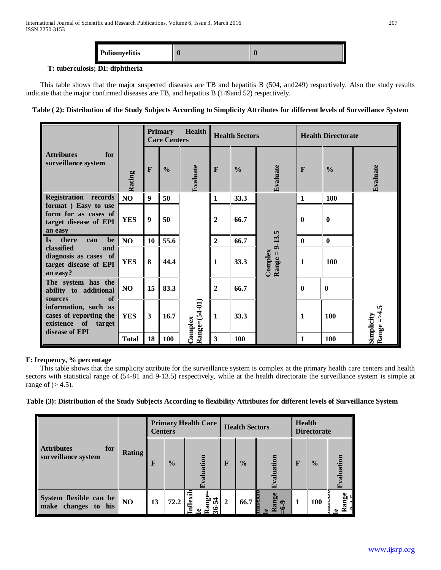| Poliomyelitis<br>Ш<br> |  |  |
|------------------------|--|--|
|------------------------|--|--|

## **T: tuberculosis; DI: diphtheria**

 $\overline{a}$ 

 This table shows that the major suspected diseases are TB and hepatitis B (504, and249) respectively. Also the study results indicate that the major confirmed diseases are TB, and hepatitis B (149and 52) respectively.

## **Table ( 2): Distribution of the Study Subjects According to Simplicity Attributes for different levels of Surveillance System**

|                                                                                            |              |              | <b>Primary</b><br><b>Care Centers</b> | <b>Health</b>            |                         | <b>Health Sectors</b> |                               |              | <b>Health Directorate</b> |                      |
|--------------------------------------------------------------------------------------------|--------------|--------------|---------------------------------------|--------------------------|-------------------------|-----------------------|-------------------------------|--------------|---------------------------|----------------------|
| <b>Attributes</b><br>for<br>surveillance system                                            | Rating       | F            | $\frac{0}{0}$                         | Evaluate                 | $\mathbf{F}$            | $\frac{0}{0}$         | Evaluate                      | $\mathbf{F}$ | $\frac{0}{0}$             | Evaluate             |
| <b>Registration records</b>                                                                | NO           | 9            | 50                                    |                          | $\mathbf{1}$            | 33.3                  |                               | $\mathbf{1}$ | 100                       |                      |
| format ) Easy to use<br>form for as cases of<br>target disease of EPI<br>an easy           | <b>YES</b>   | 9            | 50                                    |                          | $\overline{2}$          | 66.7                  |                               | $\mathbf{0}$ | $\mathbf 0$               |                      |
| be<br><b>Is</b><br>there<br>can                                                            | NO           | 10           | 55.6                                  |                          | $\overline{2}$          | 66.7                  |                               | $\bf{0}$     | $\bf{0}$                  |                      |
| classified<br>and<br>diagnosis as cases of<br>target disease of EPI<br>an easy?            | <b>YES</b>   | 8            | 44.4                                  |                          | 1                       | 33.3                  | $Range = 9 - 13.5$<br>Complex | $\mathbf{1}$ | <b>100</b>                |                      |
| The system has the<br>ability to additional<br>of<br>sources                               | NO           | 15           | 83.3                                  |                          | $\overline{2}$          | 66.7                  |                               | $\mathbf{0}$ | $\bf{0}$                  |                      |
| information, such as<br>cases of reporting the<br>existence of<br>target<br>disease of EPI | <b>YES</b>   | $\mathbf{3}$ | 16.7                                  | Range=(54-81)<br>Complex | $\mathbf{1}$            | 33.3                  |                               | 1            | <b>100</b>                | n<br>Simplicity<br>î |
|                                                                                            | <b>Total</b> | 18           | 100                                   |                          | $\overline{\mathbf{3}}$ | 100                   |                               | 1            | <b>100</b>                | Range                |

## **F: frequency, % percentage**

 This table shows that the simplicity attribute for the surveillance system is complex at the primary health care centers and health sectors with statistical range of (54-81 and 9-13.5) respectively, while at the health directorate the surveillance system is simple at range of  $(>4.5)$ .

#### **Table (3): Distribution of the Study Subjects According to flexibility Attributes for different levels of Surveillance System**

|                                                 |               | <b>Primary Health Care</b><br><b>Centers</b> |               |                                     |                | <b>Health Sectors</b> |                        | <b>Health</b><br><b>Directorate</b> |               |          |
|-------------------------------------------------|---------------|----------------------------------------------|---------------|-------------------------------------|----------------|-----------------------|------------------------|-------------------------------------|---------------|----------|
| <b>Attributes</b><br>for<br>surveillance system | <b>Rating</b> | F                                            | $\frac{0}{0}$ | ation                               | $\mathbf F$    | $\frac{0}{0}$         | uation<br>6            | F                                   | $\frac{0}{0}$ | Ě        |
| System flexible can be<br>make changes to his   | NO            | 13                                           | 72.2          | <b>Inflexib</b><br>ange<br>2<br>لجا | $\overline{2}$ | 66.7                  | Rang<br>Ë<br>$\bullet$ | 1                                   | <b>100</b>    | nge<br>≃ |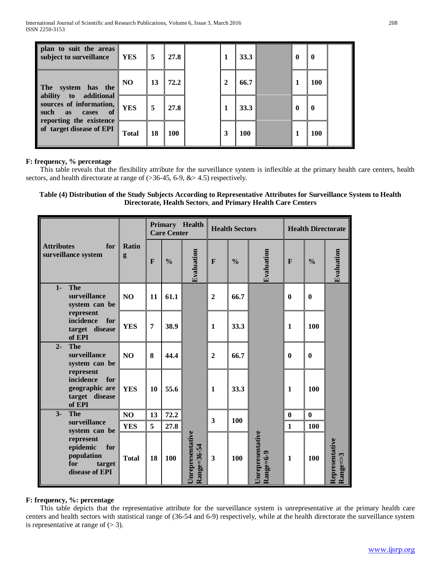| plan to suit the areas<br>subject to surveillance                                                                 | <b>YES</b>   | 5  | 27.8       |   | 33.3       | $\mathbf 0$  | 0          |  |
|-------------------------------------------------------------------------------------------------------------------|--------------|----|------------|---|------------|--------------|------------|--|
| The system has the                                                                                                | <b>NO</b>    | 13 | 72.2       | 2 | 66.7       | 1            | <b>100</b> |  |
| ability to additional<br>sources of information,<br>such<br><b>as</b><br>- of<br>cases<br>reporting the existence | <b>YES</b>   | 5  | 27.8       |   | 33.3       | $\mathbf{0}$ | o          |  |
| of target disease of EPI                                                                                          | <b>Total</b> | 18 | <b>100</b> | 3 | <b>100</b> | 1            | <b>100</b> |  |

### **F: frequency, % percentage**

 This table reveals that the flexibility attribute for the surveillance system is inflexible at the primary health care centers, health sectors, and health directorate at range of (>36-45, 6-9, &> 4.5) respectively.

#### **Table (4) Distribution of the Study Subjects According to Representative Attributes for Surveillance System to Health Directorate, Health Sectors**, **and Primary Health Care Centers**

|                   |                                                                               |                |                | <b>Care Center</b> | Primary Health                         |                         | <b>Health Sectors</b> |                                              |              |               | <b>Health Directorate</b>       |
|-------------------|-------------------------------------------------------------------------------|----------------|----------------|--------------------|----------------------------------------|-------------------------|-----------------------|----------------------------------------------|--------------|---------------|---------------------------------|
| <b>Attributes</b> | for<br>surveillance system                                                    | Ratin<br>g     | $\mathbf{F}$   | $\frac{0}{0}$      | Evaluation                             | F                       | $\frac{0}{0}$         | Evaluation                                   | $\mathbf{F}$ | $\frac{0}{0}$ | Evaluation                      |
| $1 -$             | <b>The</b><br>surveillance<br>system can be                                   | N <sub>O</sub> | 11             | 61.1               |                                        | $\overline{2}$          | 66.7                  |                                              | $\bf{0}$     | $\bf{0}$      |                                 |
|                   | represent<br>incidence<br>for<br>target disease<br>of EPI                     | <b>YES</b>     | $\overline{7}$ | 38.9               |                                        | $\mathbf{1}$            | 33.3                  |                                              | $\mathbf{1}$ | 100           |                                 |
| $2 -$             | <b>The</b><br>surveillance<br>system can be                                   | N <sub>O</sub> | 8              | 44.4               |                                        | $\overline{2}$          | 66.7                  |                                              | $\bf{0}$     | $\mathbf{0}$  |                                 |
|                   | represent<br>incidence<br>for<br>geographic are<br>target disease<br>of EPI   | <b>YES</b>     | 10             | 55.6               |                                        | $\mathbf{1}$            | 33.3                  |                                              | $\mathbf{1}$ | 100           |                                 |
| $3-$              | <b>The</b>                                                                    | NO             | 13             | 72.2               |                                        | 3                       | 100                   |                                              | $\bf{0}$     | $\mathbf{0}$  |                                 |
|                   | surveillance<br>system can be                                                 | <b>YES</b>     | 5              | 27.8               |                                        |                         |                       |                                              | $\mathbf{1}$ | 100           |                                 |
|                   | represent<br>epidemic<br>for<br>population<br>for<br>target<br>disease of EPI | <b>Total</b>   | 18             | 100                | <b>Jnrepresentative</b><br>Range=36-54 | $\overline{\mathbf{3}}$ | 100                   | <b>Jnrepresentative</b><br>$\rm{Range=}$ 6-9 | $\mathbf{1}$ | 100           | Representative<br>$Range = > 3$ |

#### **F: frequency, %: percentage**

 This table depicts that the representative attribute for the surveillance system is unrepresentative at the primary health care centers and health sectors with statistical range of (36-54 and 6-9) respectively, while at the health directorate the surveillance system is representative at range of  $(> 3)$ .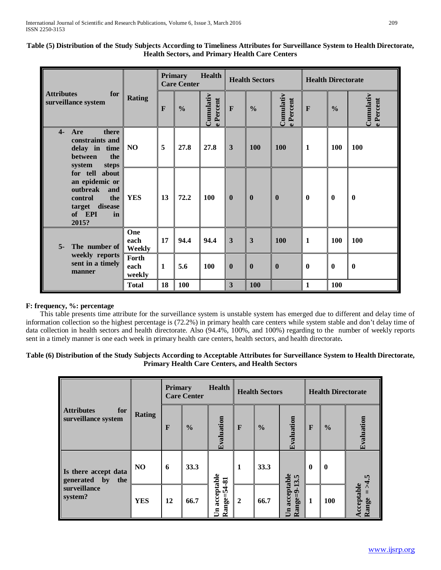| Table (5) Distribution of the Study Subjects According to Timeliness Attributes for Surveillance System to Health Directorate,<br><b>Health Sectors, and Primary Health Care Centers</b> |  |         |        |  |  |  |
|------------------------------------------------------------------------------------------------------------------------------------------------------------------------------------------|--|---------|--------|--|--|--|
|                                                                                                                                                                                          |  | Primary | Health |  |  |  |

|                                                                                                                                        |                         | <b>Primary</b> | <b>Care Center</b> | <b>Health</b>                    |                         | <b>Health Sectors</b> |                        | <b>Health Directorate</b> |               |                        |  |
|----------------------------------------------------------------------------------------------------------------------------------------|-------------------------|----------------|--------------------|----------------------------------|-------------------------|-----------------------|------------------------|---------------------------|---------------|------------------------|--|
| <b>Attributes</b><br>for<br>surveillance system                                                                                        | <b>Rating</b>           | $\mathbf{F}$   | $\frac{0}{0}$      | Cumulativ<br>Percent<br>$\omega$ | $\mathbf{F}$            | $\frac{0}{0}$         | Cumulativ<br>e Percent | F                         | $\frac{0}{0}$ | Cumulativ<br>e Percent |  |
| $\overline{4}$<br>Are<br>there<br>constraints and<br>delay in time<br>the<br><b>between</b>                                            | NO                      | 5              | 27.8               | 27.8                             | $\overline{3}$          | 100                   | 100                    | $\mathbf{1}$              | 100           | 100                    |  |
| system<br>steps<br>for tell about<br>an epidemic or<br>outbreak<br>and<br>control<br>the<br>disease<br>target<br>of EPI<br>in<br>2015? | <b>YES</b>              | 13             | 72.2               | 100                              | $\bf{0}$                | $\mathbf{0}$          | $\bf{0}$               | $\bf{0}$                  | $\bf{0}$      | $\bf{0}$               |  |
| $5-$<br>The number of                                                                                                                  | One<br>each<br>Weekly   | 17             | 94.4               | 94.4                             | $\overline{\mathbf{3}}$ | 3                     | <b>100</b>             | $\mathbf{1}$              | 100           | 100                    |  |
| weekly reports<br>sent in a timely<br>manner                                                                                           | Forth<br>each<br>weekly | $\mathbf{1}$   | 5.6                | 100                              | $\bf{0}$                | $\boldsymbol{0}$      | $\boldsymbol{0}$       | $\bf{0}$                  | $\mathbf{0}$  | $\boldsymbol{0}$       |  |
|                                                                                                                                        | <b>Total</b>            | 18             | 100                |                                  | $\overline{\mathbf{3}}$ | 100                   |                        | $\mathbf{1}$              | 100           |                        |  |

## **F: frequency, %: percentage**

 This table presents time attribute for the surveillance system is unstable system has emerged due to different and delay time of information collection so the highest percentage is (72.2%) in primary health care centers while system stable and don't delay time of data collection in health sectors and health directorate. Also (94.4%, 100%, and 100%) regarding to the number of weekly reports sent in a timely manner is one each week in primary health care centers, health sectors, and health directorate**.**

#### **Table (6) Distribution of the Study Subjects According to Acceptable Attributes for Surveillance System to Health Directorate, Primary Health Care Centers, and Health Sectors**

|                                                           |               | <b>Health</b><br><b>Primary</b><br><b>Care Center</b> |               |                              |                | <b>Health Sectors</b> |                                              | <b>Health Directorate</b> |               |                                          |  |
|-----------------------------------------------------------|---------------|-------------------------------------------------------|---------------|------------------------------|----------------|-----------------------|----------------------------------------------|---------------------------|---------------|------------------------------------------|--|
| <b>Attributes</b><br>for<br>surveillance system           | <b>Rating</b> | F                                                     | $\frac{0}{0}$ | Evaluation                   | $\mathbf{F}$   | $\frac{0}{0}$         | Evaluation                                   | F                         | $\frac{0}{0}$ | Evaluation                               |  |
| Is there accept data<br>generated<br>the<br>$\mathbf{by}$ | NO            | 6                                                     | 33.3          |                              | 1              | 33.3                  | 13.5                                         | $\bf{0}$                  | $\mathbf{0}$  | r.                                       |  |
| surveillance<br>system?                                   | <b>YES</b>    | 12                                                    | 66.7          | Un acceptable<br>Range=54-81 | $\overline{2}$ | 66.7                  | acceptable<br>$\rm{Range=9}$<br>$\mathbf{E}$ | $\mathbf{1}$              | <b>100</b>    | ₹<br>cceptable<br>$\mathbf{II}$<br>Range |  |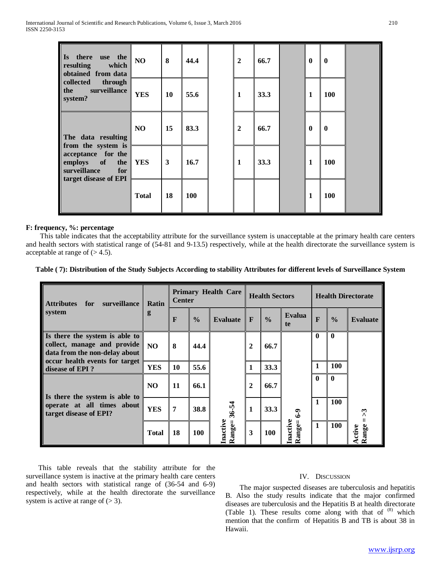| there<br>use the<br><b>Is</b><br>resulting<br>which<br>obtained from data | NO           | 8  | 44.4 | $\mathbf{2}$   | 66.7 | $\boldsymbol{0}$ | $\mathbf{0}$ |  |
|---------------------------------------------------------------------------|--------------|----|------|----------------|------|------------------|--------------|--|
| collected<br>through<br>surveillance<br>the<br>system?                    | <b>YES</b>   | 10 | 55.6 | $\mathbf{1}$   | 33.3 | 1                | <b>100</b>   |  |
| The data resulting<br>from the system is                                  | NO           | 15 | 83.3 | $\overline{2}$ | 66.7 | $\boldsymbol{0}$ | $\bf{0}$     |  |
| acceptance for the<br>employs of<br>the<br>surveillance<br>for            | <b>YES</b>   | 3  | 16.7 | $\mathbf{1}$   | 33.3 | 1                | <b>100</b>   |  |
| target disease of EPI                                                     | <b>Total</b> | 18 | 100  |                |      | $\mathbf{1}$     | <b>100</b>   |  |

#### **F: frequency, %: percentage**

 This table indicates that the acceptability attribute for the surveillance system is unacceptable at the primary health care centers and health sectors with statistical range of (54-81 and 9-13.5) respectively, while at the health directorate the surveillance system is acceptable at range of  $(>4.5)$ .

#### **Table ( 7): Distribution of the Study Subjects According to stability Attributes for different levels of Surveillance System**

| <b>Attributes</b><br>surveillance<br>for                                                       | Ratin          | <b>Center</b> |               | <b>Primary Health Care</b> |                  | <b>Health Sectors</b> |                    | <b>Health Directorate</b> |               |                        |  |
|------------------------------------------------------------------------------------------------|----------------|---------------|---------------|----------------------------|------------------|-----------------------|--------------------|---------------------------|---------------|------------------------|--|
| system                                                                                         | g              | F             | $\frac{0}{0}$ | <b>Evaluate</b>            | F                | $\frac{0}{0}$         | Evalua<br>te       | F                         | $\frac{0}{0}$ | <b>Evaluate</b>        |  |
| Is there the system is able to<br>collect, manage and provide<br>data from the non-delay about | N <sub>O</sub> | 8             | 44.4          |                            | $\boldsymbol{2}$ | 66.7                  |                    | $\mathbf 0$               | $\mathbf{0}$  |                        |  |
| occur health events for target<br>disease of EPI?                                              | <b>YES</b>     | 10            | 55.6          |                            | $\mathbf{1}$     | 33.3                  |                    | 1                         | 100           |                        |  |
|                                                                                                | N <sub>O</sub> | 11            | 66.1          |                            | $\mathbf{2}$     | 66.7                  |                    | $\mathbf{0}$              | $\mathbf{0}$  |                        |  |
| Is there the system is able to<br>operate at all times about<br>target disease of EPI?         | <b>YES</b>     | 7             | 38.8          | $36 - 54$                  | 1                | 33.3                  | $6-9$              |                           | 100           | ొ                      |  |
|                                                                                                | <b>Total</b>   | 18            | <b>100</b>    | Inactive<br>Range=         | 3                | 100                   | Inactive<br>Range= | $\mathbf{1}$              | 100           | Range<br><b>Active</b> |  |

 This table reveals that the stability attribute for the surveillance system is inactive at the primary health care centers and health sectors with statistical range of (36-54 and 6-9) respectively, while at the health directorate the surveillance system is active at range of  $(> 3)$ .

#### IV. DISCUSSION

 The major suspected diseases are tuberculosis and hepatitis B. Also the study results indicate that the major confirmed diseases are tuberculosis and the Hepatitis B at health directorate (Table 1). These results come along with that of <sup>(8)</sup> which mention that the confirm of Hepatitis B and TB is about 38 in Hawaii.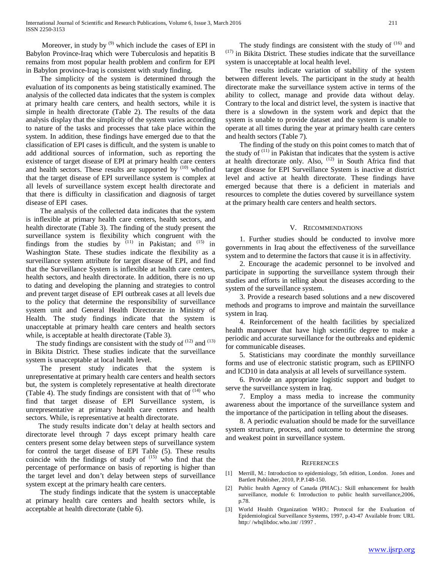Moreover, in study by  $(9)$  which include the cases of EPI in Babylon Province-Iraq which were Tuberculosis and hepatitis B remains from most popular health problem and confirm for EPI in Babylon province-Iraq is consistent with study finding.

 The simplicity of the system is determined through the evaluation of its components as being statistically examined. The analysis of the collected data indicates that the system is complex at primary health care centers, and health sectors, while it is simple in health directorate (Table 2). The results of the data analysis display that the simplicity of the system varies according to nature of the tasks and processes that take place within the system. In addition, these findings have emerged due to that the classification of EPI cases is difficult, and the system is unable to add additional sources of information, such as reporting the existence of target disease of EPI at primary health care centers and health sectors. These results are supported by  $(10)$  whofind that the target disease of EPI surveillance system is complex at all levels of surveillance system except health directorate and that there is difficulty in classification and diagnosis of target disease of EPI cases.

 The analysis of the collected data indicates that the system is inflexible at primary health care centers, health sectors, and health directorate (Table 3). The finding of the study present the surveillance system is flexibility which congruent with the findings from the studies by  $(11)$  in Pakistan; and  $(15)$  in Washington State. These studies indicate the flexibility as a surveillance system attribute for target disease of EPI, and find that the Surveillance System is inflexible at health care centers, health sectors, and health directorate. In addition, there is no up to dating and developing the planning and strategies to control and prevent target disease of EPI outbreak cases at all levels due to the policy that determine the responsibility of surveillance system unit and General Health Directorate in Ministry of Health. The study findings indicate that the system is unacceptable at primary health care centers and health sectors while, is acceptable at health directorate (Table 3).

The study findings are consistent with the study of  $(12)$  and  $(13)$ in Bikita District. These studies indicate that the surveillance system is unacceptable at local health level.

 The present study indicates that the system is unrepresentative at primary health care centers and health sectors but, the system is completely representative at health directorate (Table 4). The study findings are consistent with that of  $(14)$  who find that target disease of EPI Surveillance system, is unrepresentative at primary health care centers and health sectors. While, is representative at health directorate.

 The study results indicate don't delay at health sectors and directorate level through 7 days except primary health care centers present some delay between steps of surveillance system for control the target disease of EPI Table (5). These results coincide with the findings of study of  $(15)$  who find that the percentage of performance on basis of reporting is higher than the target level and don't delay between steps of surveillance system except at the primary health care centers.

 The study findings indicate that the system is unacceptable at primary health care centers and health sectors while, is acceptable at health directorate (table 6).

The study findings are consistent with the study of  $(16)$  and  $(17)$  in Bikita District. These studies indicate that the surveillance system is unacceptable at local health level.

 The results indicate variation of stability of the system between different levels. The participant in the study at health directorate make the surveillance system active in terms of the ability to collect, manage and provide data without delay. Contrary to the local and district level, the system is inactive that there is a slowdown in the system work and depict that the system is unable to provide dataset and the system is unable to operate at all times during the year at primary health care centers and health sectors (Table 7).

 The finding of the study on this point comes to match that of the study of  $(11)$  in Pakistan that indicates that the system is active at health directorate only. Also,  $(12)$  in South Africa find that target disease for EPI Surveillance System is inactive at district level and active at health directorate. These findings have emerged because that there is a deficient in materials and resources to complete the duties covered by surveillance system at the primary health care centers and health sectors.

#### V. RECOMMENDATIONS

 1. Further studies should be conducted to involve more governments in Iraq about the effectiveness of the surveillance system and to determine the factors that cause it is in affectivity.

 2. Encourage the academic personnel to be involved and participate in supporting the surveillance system through their studies and efforts in telling about the diseases according to the system of the surveillance system.

 3. Provide a research based solutions and a new discovered methods and programs to improve and maintain the surveillance system in Iraq.

 4. Reinforcement of the health facilities by specialized health manpower that have high scientific degree to make a periodic and accurate surveillance for the outbreaks and epidemic for communicable diseases.

 5. Statisticians may coordinate the monthly surveillance forms and use of electronic statistic program, such as EPIINFO and ICD10 in data analysis at all levels of surveillance system.

 6. Provide an appropriate logistic support and budget to serve the surveillance system in Iraq.

 7. Employ a mass media to increase the community awareness about the importance of the surveillance system and the importance of the participation in telling about the diseases.

 8. A periodic evaluation should be made for the surveillance system structure, process, and outcome to determine the strong and weakest point in surveillance system.

#### **REFERENCES**

- [1] Merrill, M.: Introduction to epidemiology, 5th edition, London. Jones and Bartlett Publisher, 2010, P.P.148-150.
- [2] Public health Agency of Canada (PHAC).: Skill enhancement for health surveillance, module 6: Introduction to public health surveillance,2006, p.78.
- [3] World Health Organization WHO.: Protocol for the Evaluation of Epidemiological Surveillance Systems, 1997, p.43-47 Available from: URL http://whqlibdoc.who.int//1997.